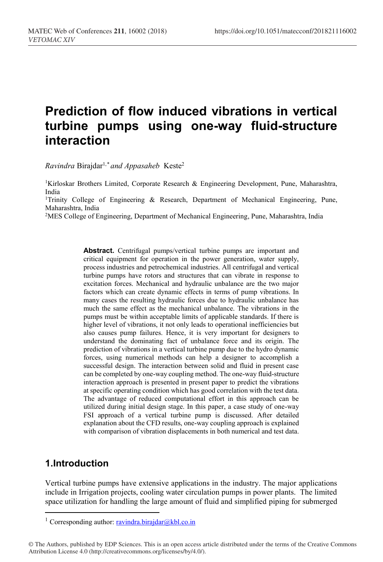# **Prediction of flow induced vibrations in vertical turbine pumps using one-way fluid-structure interaction**

*Ravindra* Birajdar1,*\* and Appasaheb* Keste2

<sup>1</sup>Kirloskar Brothers Limited, Corporate Research & Engineering Development, Pune, Maharashtra, India

<sup>1</sup>Trinity College of Engineering & Research, Department of Mechanical Engineering, Pune, Maharashtra, India

2MES College of Engineering, Department of Mechanical Engineering, Pune, Maharashtra, India

**Abstract.** Centrifugal pumps/vertical turbine pumps are important and critical equipment for operation in the power generation, water supply, process industries and petrochemical industries. All centrifugal and vertical turbine pumps have rotors and structures that can vibrate in response to excitation forces. Mechanical and hydraulic unbalance are the two major factors which can create dynamic effects in terms of pump vibrations. In many cases the resulting hydraulic forces due to hydraulic unbalance has much the same effect as the mechanical unbalance. The vibrations in the pumps must be within acceptable limits of applicable standards. If there is higher level of vibrations, it not only leads to operational inefficiencies but also causes pump failures. Hence, it is very important for designers to understand the dominating fact of unbalance force and its origin. The prediction of vibrations in a vertical turbine pump due to the hydro dynamic forces, using numerical methods can help a designer to accomplish a successful design. The interaction between solid and fluid in present case can be completed by one-way coupling method. The one-way fluid-structure interaction approach is presented in present paper to predict the vibrations at specific operating condition which has good correlation with the test data. The advantage of reduced computational effort in this approach can be utilized during initial design stage. In this paper, a case study of one-way FSI approach of a vertical turbine pump is discussed. After detailed explanation about the CFD results, one-way coupling approach is explained with comparison of vibration displacements in both numerical and test data.

## **1.Introduction**

 $\overline{a}$ 

Vertical turbine pumps have extensive applications in the industry. The major applications include in Irrigation projects, cooling water circulation pumps in power plants. The limited space utilization for handling the large amount of fluid and simplified piping for submerged

© The Authors, published by EDP Sciences. This is an open access article distributed under the terms of the Creative Commons Attribution License 4.0 (http://creativecommons.org/licenses/by/4.0/).

<sup>&</sup>lt;sup>1</sup> Corresponding author:  $r_{\text{avindra}}$ .birajdar@kbl.co.in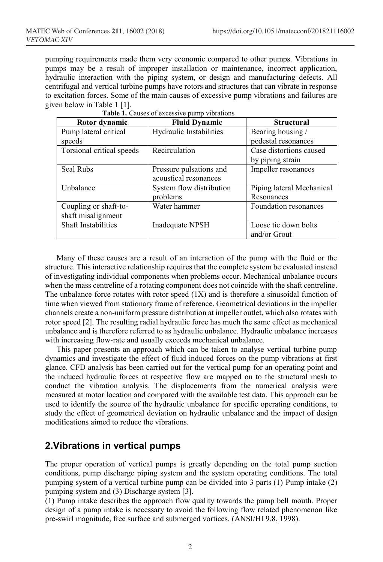pumping requirements made them very economic compared to other pumps. Vibrations in pumps may be a result of improper installation or maintenance, incorrect application, hydraulic interaction with the piping system, or design and manufacturing defects. All centrifugal and vertical turbine pumps have rotors and structures that can vibrate in response to excitation forces. Some of the main causes of excessive pump vibrations and failures are given below in Table 1 [1].

| Rotor dynamic             | <b>Fluid Dynamic</b>     | <b>Structural</b>         |  |
|---------------------------|--------------------------|---------------------------|--|
| Pump lateral critical     | Hydraulic Instabilities  | Bearing housing /         |  |
| speeds                    |                          | pedestal resonances       |  |
| Torsional critical speeds | Recirculation            | Case distortions caused   |  |
|                           |                          | by piping strain          |  |
| Seal Rubs                 | Pressure pulsations and  | Impeller resonances       |  |
|                           | acoustical resonances    |                           |  |
| Unbalance                 | System flow distribution | Piping lateral Mechanical |  |
|                           | problems                 | Resonances                |  |
| Coupling or shaft-to-     | Water hammer             | Foundation resonances     |  |
| shaft misalignment        |                          |                           |  |
| Shaft Instabilities       | Inadequate NPSH          | Loose tie down bolts      |  |
|                           |                          | and/or Grout              |  |

**Table 1.** Causes of excessive pump vibrations

Many of these causes are a result of an interaction of the pump with the fluid or the structure. This interactive relationship requires that the complete system be evaluated instead of investigating individual components when problems occur. Mechanical unbalance occurs when the mass centreline of a rotating component does not coincide with the shaft centreline. The unbalance force rotates with rotor speed  $(1X)$  and is therefore a sinusoidal function of time when viewed from stationary frame of reference. Geometrical deviations in the impeller channels create a non-uniform pressure distribution at impeller outlet, which also rotates with rotor speed [2]. The resulting radial hydraulic force has much the same effect as mechanical unbalance and is therefore referred to as hydraulic unbalance. Hydraulic unbalance increases with increasing flow-rate and usually exceeds mechanical unbalance.

This paper presents an approach which can be taken to analyse vertical turbine pump dynamics and investigate the effect of fluid induced forces on the pump vibrations at first glance. CFD analysis has been carried out for the vertical pump for an operating point and the induced hydraulic forces at respective flow are mapped on to the structural mesh to conduct the vibration analysis. The displacements from the numerical analysis were measured at motor location and compared with the available test data. This approach can be used to identify the source of the hydraulic unbalance for specific operating conditions, to study the effect of geometrical deviation on hydraulic unbalance and the impact of design modifications aimed to reduce the vibrations.

# **2.Vibrations in vertical pumps**

The proper operation of vertical pumps is greatly depending on the total pump suction conditions, pump discharge piping system and the system operating conditions. The total pumping system of a vertical turbine pump can be divided into 3 parts (1) Pump intake (2) pumping system and (3) Discharge system [3].

(1) Pump intake describes the approach flow quality towards the pump bell mouth. Proper design of a pump intake is necessary to avoid the following flow related phenomenon like pre-swirl magnitude, free surface and submerged vortices. (ANSI/HI 9.8, 1998).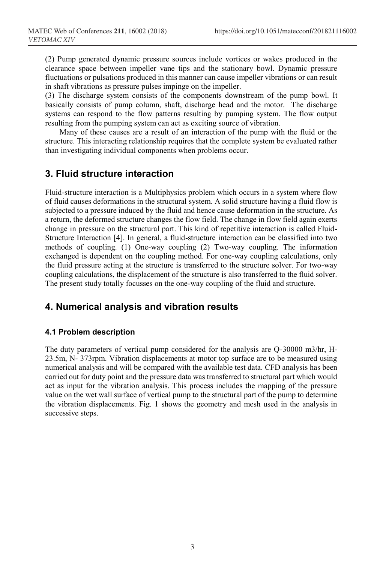(2) Pump generated dynamic pressure sources include vortices or wakes produced in the clearance space between impeller vane tips and the stationary bowl. Dynamic pressure fluctuations or pulsations produced in this manner can cause impeller vibrations or can result in shaft vibrations as pressure pulses impinge on the impeller.

(3) The discharge system consists of the components downstream of the pump bowl. It basically consists of pump column, shaft, discharge head and the motor. The discharge systems can respond to the flow patterns resulting by pumping system. The flow output resulting from the pumping system can act as exciting source of vibration.

Many of these causes are a result of an interaction of the pump with the fluid or the structure. This interacting relationship requires that the complete system be evaluated rather than investigating individual components when problems occur.

# **3. Fluid structure interaction**

Fluid-structure interaction is a Multiphysics problem which occurs in a system where flow of fluid causes deformations in the structural system. A solid structure having a fluid flow is subjected to a pressure induced by the fluid and hence cause deformation in the structure. As a return, the deformed structure changes the flow field. The change in flow field again exerts change in pressure on the structural part. This kind of repetitive interaction is called Fluid-Structure Interaction [4]. In general, a fluid-structure interaction can be classified into two methods of coupling. (1) One-way coupling (2) Two-way coupling. The information exchanged is dependent on the coupling method. For one-way coupling calculations, only the fluid pressure acting at the structure is transferred to the structure solver. For two-way coupling calculations, the displacement of the structure is also transferred to the fluid solver. The present study totally focusses on the one-way coupling of the fluid and structure.

# **4. Numerical analysis and vibration results**

#### **4.1 Problem description**

The duty parameters of vertical pump considered for the analysis are Q-30000 m3/hr, H-23.5m, N- 373rpm. Vibration displacements at motor top surface are to be measured using numerical analysis and will be compared with the available test data. CFD analysis has been carried out for duty point and the pressure data was transferred to structural part which would act as input for the vibration analysis. This process includes the mapping of the pressure value on the wet wall surface of vertical pump to the structural part of the pump to determine the vibration displacements. Fig. 1 shows the geometry and mesh used in the analysis in successive steps.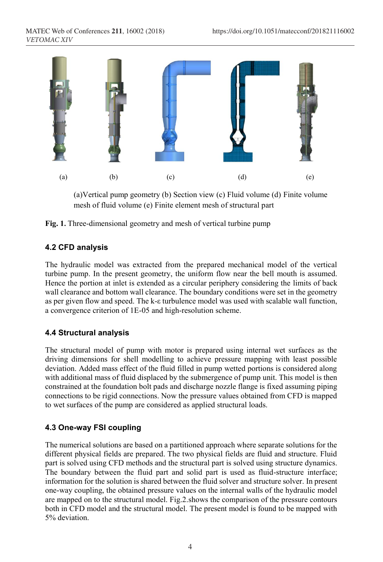

(a)Vertical pump geometry (b) Section view (c) Fluid volume (d) Finite volume mesh of fluid volume (e) Finite element mesh of structural part



## **4.2 CFD analysis**

The hydraulic model was extracted from the prepared mechanical model of the vertical turbine pump. In the present geometry, the uniform flow near the bell mouth is assumed. Hence the portion at inlet is extended as a circular periphery considering the limits of back wall clearance and bottom wall clearance. The boundary conditions were set in the geometry as per given flow and speed. The k-ε turbulence model was used with scalable wall function, a convergence criterion of 1E-05 and high-resolution scheme.

#### **4.4 Structural analysis**

The structural model of pump with motor is prepared using internal wet surfaces as the driving dimensions for shell modelling to achieve pressure mapping with least possible deviation. Added mass effect of the fluid filled in pump wetted portions is considered along with additional mass of fluid displaced by the submergence of pump unit. This model is then constrained at the foundation bolt pads and discharge nozzle flange is fixed assuming piping connections to be rigid connections. Now the pressure values obtained from CFD is mapped to wet surfaces of the pump are considered as applied structural loads.

#### **4.3 One-way FSI coupling**

The numerical solutions are based on a partitioned approach where separate solutions for the different physical fields are prepared. The two physical fields are fluid and structure. Fluid part is solved using CFD methods and the structural part is solved using structure dynamics. The boundary between the fluid part and solid part is used as fluid-structure interface; information for the solution is shared between the fluid solver and structure solver. In present one-way coupling, the obtained pressure values on the internal walls of the hydraulic model are mapped on to the structural model. Fig.2.shows the comparison of the pressure contours both in CFD model and the structural model. The present model is found to be mapped with 5% deviation.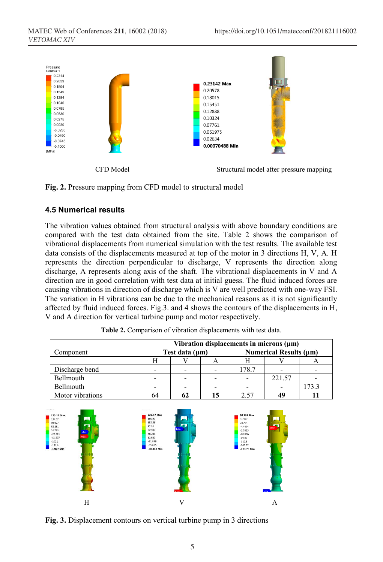



#### **4.5 Numerical results**

The vibration values obtained from structural analysis with above boundary conditions are compared with the test data obtained from the site. Table 2 shows the comparison of vibrational displacements from numerical simulation with the test results. The available test data consists of the displacements measured at top of the motor in 3 directions H, V, A. H represents the direction perpendicular to discharge, V represents the direction along discharge, A represents along axis of the shaft. The vibrational displacements in V and A direction are in good correlation with test data at initial guess. The fluid induced forces are causing vibrations in direction of discharge which is V are well predicted with one-way FSI. The variation in H vibrations can be due to the mechanical reasons as it is not significantly affected by fluid induced forces. Fig.3. and 4 shows the contours of the displacements in H, V and A direction for vertical turbine pump and motor respectively.

|                  | Vibration displacements in microns (µm) |  |  |                               |        |       |  |
|------------------|-----------------------------------------|--|--|-------------------------------|--------|-------|--|
| Component        | Test data (um)                          |  |  | <b>Numerical Results (um)</b> |        |       |  |
|                  |                                         |  |  |                               |        |       |  |
| Discharge bend   |                                         |  |  | 178.7                         |        |       |  |
| <b>Bellmouth</b> |                                         |  |  |                               | 221.57 |       |  |
| Bellmouth        |                                         |  |  | $\overline{\phantom{0}}$      |        | 173.3 |  |
| Motor vibrations | 64                                      |  |  | 2.57                          |        |       |  |

**Table 2.** Comparison of vibration displacements with test data.



**Fig. 3.** Displacement contours on vertical turbine pump in 3 directions